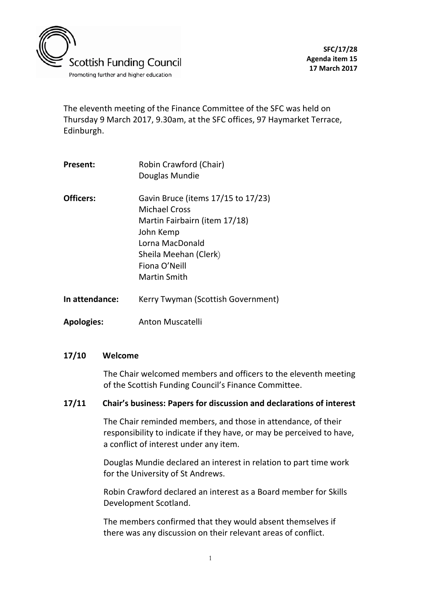

The eleventh meeting of the Finance Committee of the SFC was held on Thursday 9 March 2017, 9.30am, at the SFC offices, 97 Haymarket Terrace, Edinburgh.

| Present:         | Robin Crawford (Chair)<br>Douglas Mundie                                                                                                                                              |
|------------------|---------------------------------------------------------------------------------------------------------------------------------------------------------------------------------------|
| <b>Officers:</b> | Gavin Bruce (items 17/15 to 17/23)<br><b>Michael Cross</b><br>Martin Fairbairn (item 17/18)<br>John Kemp<br>Lorna MacDonald<br>Sheila Meehan (Clerk)<br>Fiona O'Neill<br>Martin Smith |
| In attendance:   | Kerry Twyman (Scottish Government)                                                                                                                                                    |

**Apologies:** Anton Muscatelli

#### **17/10 Welcome**

The Chair welcomed members and officers to the eleventh meeting of the Scottish Funding Council's Finance Committee.

#### **17/11 Chair's business: Papers for discussion and declarations of interest**

The Chair reminded members, and those in attendance, of their responsibility to indicate if they have, or may be perceived to have, a conflict of interest under any item.

Douglas Mundie declared an interest in relation to part time work for the University of St Andrews.

Robin Crawford declared an interest as a Board member for Skills Development Scotland.

The members confirmed that they would absent themselves if there was any discussion on their relevant areas of conflict.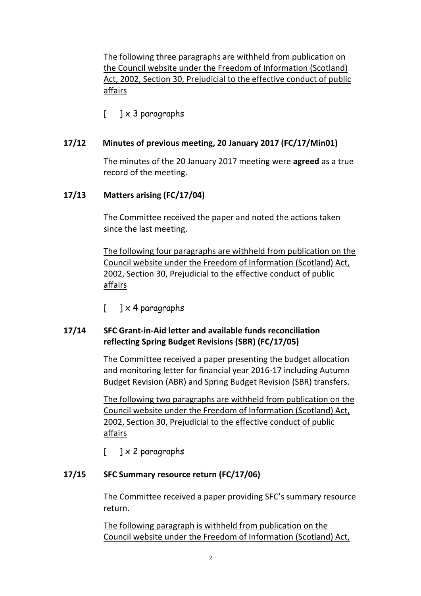The following three paragraphs are withheld from publication on the Council website under the Freedom of Information (Scotland) Act, 2002, Section 30, Prejudicial to the effective conduct of public affairs

 $\lceil$   $\rceil \times 3$  paragraphs

## **17/12 Minutes of previous meeting, 20 January 2017 (FC/17/Min01)**

The minutes of the 20 January 2017 meeting were **agreed** as a true record of the meeting.

## **17/13 Matters arising (FC/17/04)**

The Committee received the paper and noted the actions taken since the last meeting.

The following four paragraphs are withheld from publication on the Council website under the Freedom of Information (Scotland) Act, 2002, Section 30, Prejudicial to the effective conduct of public affairs

 $\begin{bmatrix} 1 \end{bmatrix}$  x 4 paragraphs

# **17/14 SFC Grant-in-Aid letter and available funds reconciliation reflecting Spring Budget Revisions (SBR) (FC/17/05)**

The Committee received a paper presenting the budget allocation and monitoring letter for financial year 2016-17 including Autumn Budget Revision (ABR) and Spring Budget Revision (SBR) transfers.

The following two paragraphs are withheld from publication on the Council website under the Freedom of Information (Scotland) Act, 2002, Section 30, Prejudicial to the effective conduct of public affairs

[ ] x 2 paragraphs

### **17/15 SFC Summary resource return (FC/17/06)**

The Committee received a paper providing SFC's summary resource return.

The following paragraph is withheld from publication on the Council website under the Freedom of Information (Scotland) Act,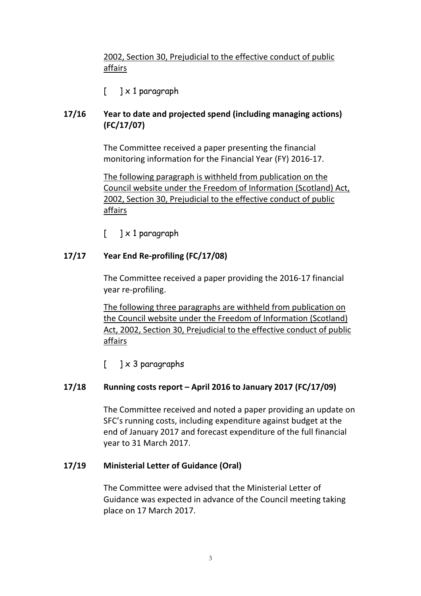# 2002, Section 30, Prejudicial to the effective conduct of public affairs

 $\begin{bmatrix} 1 & x & 1 \end{bmatrix}$  paragraph

# **17/16 Year to date and projected spend (including managing actions) (FC/17/07)**

The Committee received a paper presenting the financial monitoring information for the Financial Year (FY) 2016-17.

The following paragraph is withheld from publication on the Council website under the Freedom of Information (Scotland) Act, 2002, Section 30, Prejudicial to the effective conduct of public affairs

 $\begin{bmatrix} 1 & x & 1 \end{bmatrix}$  paragraph

## **17/17 Year End Re-profiling (FC/17/08)**

The Committee received a paper providing the 2016-17 financial year re-profiling.

The following three paragraphs are withheld from publication on the Council website under the Freedom of Information (Scotland) Act, 2002, Section 30, Prejudicial to the effective conduct of public affairs

 $\begin{bmatrix} 1 \times 3 \end{bmatrix}$  paragraphs

### **17/18 Running costs report – April 2016 to January 2017 (FC/17/09)**

The Committee received and noted a paper providing an update on SFC's running costs, including expenditure against budget at the end of January 2017 and forecast expenditure of the full financial year to 31 March 2017.

### **17/19 Ministerial Letter of Guidance (Oral)**

The Committee were advised that the Ministerial Letter of Guidance was expected in advance of the Council meeting taking place on 17 March 2017.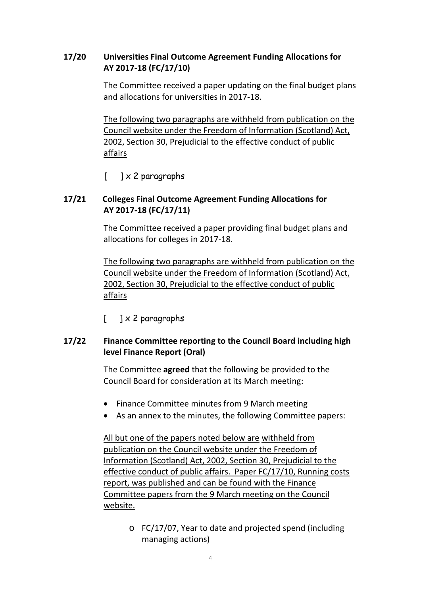## **17/20 Universities Final Outcome Agreement Funding Allocations for AY 2017-18 (FC/17/10)**

The Committee received a paper updating on the final budget plans and allocations for universities in 2017-18.

The following two paragraphs are withheld from publication on the Council website under the Freedom of Information (Scotland) Act, 2002, Section 30, Prejudicial to the effective conduct of public affairs

 $\begin{bmatrix} 1 & x^2 & 2 \end{bmatrix}$  paragraphs

# **17/21 Colleges Final Outcome Agreement Funding Allocations for AY 2017-18 (FC/17/11)**

The Committee received a paper providing final budget plans and allocations for colleges in 2017-18.

The following two paragraphs are withheld from publication on the Council website under the Freedom of Information (Scotland) Act, 2002, Section 30, Prejudicial to the effective conduct of public affairs

 $[$  ]  $\times$  2 paragraphs

## **17/22 Finance Committee reporting to the Council Board including high level Finance Report (Oral)**

The Committee **agreed** that the following be provided to the Council Board for consideration at its March meeting:

- Finance Committee minutes from 9 March meeting
- As an annex to the minutes, the following Committee papers:

All but one of the papers noted below are withheld from publication on the Council website under the Freedom of Information (Scotland) Act, 2002, Section 30, Prejudicial to the effective conduct of public affairs. Paper FC/17/10, Running costs report, was published and can be found with the Finance Committee papers from the 9 March meeting on the Council website.

> o FC/17/07, Year to date and projected spend (including managing actions)